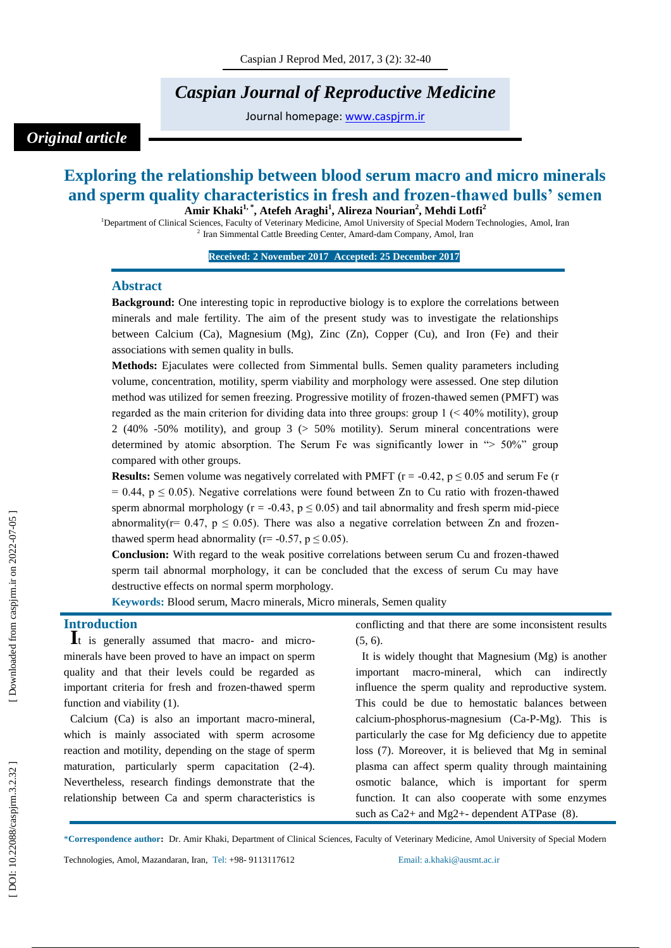# *Caspian Journal of Reproductive Medicine*

Journal homepage: [www.caspjrm.ir](http://www.caspjrm.ir/)

# *Original article*

# **Exploring the relationship between blood serum macro and micro minerals and sperm quality characteristics in fresh and frozen -thawed bulls' semen Amir Khaki 1, \*, Atefeh Araghi 1 , Alireza Nourian 2 , Mehdi Lotfi 2**

<sup>1</sup>Department of Clinical Sciences, Faculty of Veterinary Medicine, Amol University of Special Modern Technologies, Amol, Iran 2 Iran Simmental Cattle Breeding Center, Amard -dam Company, Amol, Iran

**Received: 2 November 201 7 Accepted: 2 5 December 201 7 1**

#### **Abstract**

**Background:** One interesting topic in reproductive biology is to explore the correlations between minerals and male fertility. The aim of the present study was to investigate the relationships between Calcium (Ca), Magnesium (Mg), Zinc (Zn), Copper (Cu), and Iron (Fe) and their associations with semen quality in bulls.

**Methods:** Ejaculates were collected from Simmental bulls. Semen quality parameters including volume, concentration, motility, sperm viability and morphology were assessed. One step dilution method was utilized for semen freezing. Progressive motility of frozen -thawed semen (PMFT) was regarded as the main criterion for dividing data into three groups: group  $1$  ( $\lt$  40% motility), group 2 (40% -50% motility), and group 3 (> 50% motility). Serum mineral concentrations were determined by atomic absorption. The Serum Fe was significantly lower in "> 50%" group compared with other groups.

**Results:** Semen volume was negatively correlated with PMFT  $(r = -0.42, p \le 0.05$  and serum Fe  $(r = -0.42, p \le 0.05)$  $= 0.44$ ,  $p \le 0.05$ ). Negative correlations were found between Zn to Cu ratio with frozen-thawed sperm abnormal morphology ( $r = -0.43$ ,  $p \le 0.05$ ) and tail abnormality and fresh sperm mid-piece abnormality( $r = 0.47$ ,  $p \le 0.05$ ). There was also a negative correlation between Zn and frozenthawed sperm head abnormality ( $r = -0.57$ ,  $p \le 0.05$ ).

**Conclusion:** With regard to the weak positive correlations between serum Cu and frozen -thawed sperm tail abnormal morphology, it can be concluded that the excess of serum Cu may have destructive effects on normal sperm morphology.

**Keywords:** Blood serum, Macro minerals, Micro minerals, Semen quality

**Introduction**<br> **I**t is generally assumed that macro- and microminerals have been proved to have an impact on sperm quality and that their levels could be regarded as important criteria for fresh and frozen -thawed sperm function and viability (1).

Calcium (Ca) is also an important macro -mineral, which is mainly associated with sperm acrosome reaction and motility, depending on the stage of sperm maturation, particularly sperm capacitation (2-4). Nevertheless, research findings demonstrate that the relationship between Ca and sperm characteristics is

conflicting and that there are some inconsistent results (5, 6).

It is widely thought that Magnesium (Mg) is another important macro -mineral, which can indirectly influence the sperm quality and reproductive system. This could be due to hemostatic balances between calcium-phosphorus-magnesium (Ca-P-Mg). This is particularly the case for Mg deficiency due to appetite loss (7). Moreover, it is believed that Mg in seminal plasma can affect sperm quality through maintaining osmotic balance, which is important for sperm function. It can also cooperate with some enzymes such as Ca2+ and Mg2+- dependent ATPase (8).

\***Correspondence author :** Dr. Amir Khaki, Department of Clinical Sciences, Faculty of Veterinary Medicine, Amol University of Special Modern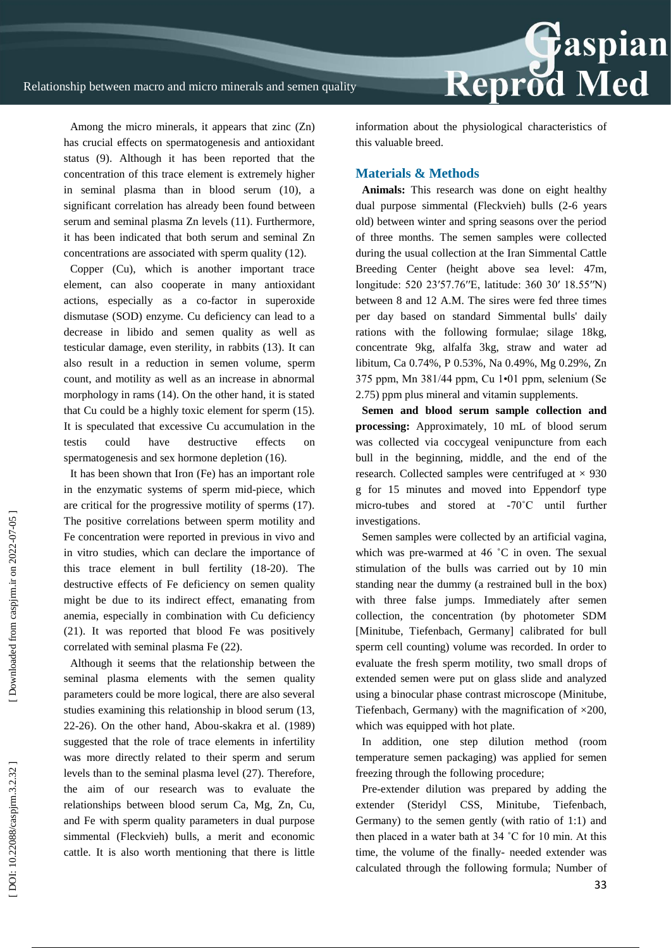

Among the micro minerals, it appears that zinc (Zn) has crucial effects on spermatogenesis and antioxidant status (9). Although it has been reported that the concentration of this trace element is extremely higher in seminal plasma than in blood serum (10), a significant correlation has already been found between serum and seminal plasma Zn levels (11). Furthermore, it has been indicated that both serum and seminal Zn concentrations are associated with sperm quality (12).

Copper (Cu), which is another important trace element, can also cooperate in many antioxidant actions, especially as a co -factor in superoxide dismutase (SOD) enzyme. Cu deficiency can lead to a decrease in libido and semen quality as well as testicular damage, even sterility, in rabbits (13). It can also result in a reduction in semen volume, sperm count, and motility as well as an increase in abnormal morphology in rams (14). On the other hand, it is stated that Cu could be a highly toxic element for sperm (15). It is speculated that excessive Cu accumulation in the testis could have destructive effects spermatogenesis and sex hormone depletion (16).

It has been shown that Iron (Fe) has an important role in the enzymatic systems of sperm mid -piece, which are critical for the progressive motility of sperms (17). The positive correlations between sperm motility and Fe concentration were reported in previous in vivo and in vitro studies, which can declare the importance of this trace element in bull fertility (18 -20). The destructive effects of Fe deficiency on semen quality might be due to its indirect effect, emanating from anemia, especially in combination with Cu deficiency (21). It was reported that blood Fe was positively correlated with seminal plasma Fe (22).

Although it seems that the relationship between the seminal plasma elements with the semen quality parameters could be more logical, there are also several studies examining this relationship in blood serum (13, 22 -26). On the other hand, Abou -skakra et al. (1989) suggested that the role of trace elements in infertility was more directly related to their sperm and serum levels than to the seminal plasma level (27). Therefore, the aim of our research was to evaluate the relationships between blood serum Ca, Mg, Zn, Cu, and Fe with sperm quality parameters in dual purpose simmental (Fleckvieh) bulls, a merit and economic cattle. It is also worth mentioning that there is little

information about the physiological characteristics of this valuable breed.

#### **Materials & Methods**

**Animals:** This research was done on eight healthy dual purpose simmental (Fleckvieh) bulls (2 -6 years old) between winter and spring seasons over the period of three months. The semen samples were collected during the usual collection at the Iran Simmental Cattle Breeding Center (height above sea level: 47m, longitude: 520 23′57.76′′E, latitude: 360 30′ 18.55′′N) between 8 and 12 A.M. The sires were fed three times per day based on standard Simmental bulls' daily rations with the following formulae; silage 18kg, concentrate 9kg, alfalfa 3kg, straw and water ad libitum, Ca 0.74%, P 0.53%, Na 0.49%, Mg 0.29%, Zn 375 ppm, Mn 381/44 ppm, Cu 1•01 ppm, selenium (Se 2.75) ppm plus mineral and vitamin supplements.

**Semen and blood serum sample collection and processing:** Approximately, 10 mL of blood serum was collected via coccygeal venipuncture from each bull in the beginning, middle, and the end of the research. Collected samples were centrifuged at  $\times$  930 g for 15 minutes and moved into Eppendorf type micro-tubes and stored at -70°C until further investigations.

Semen samples were collected by an artificial vagina, which was pre-warmed at 46 °C in oven. The sexual stimulation of the bulls was carried out by 10 min standing near the dummy (a restrained bull in the box) with three false jumps. Immediately after semen collection, the concentration (by photometer SDM [Minitube, Tiefenbach, Germany] calibrated for bull sperm cell counting) volume was recorded. In order to evaluate the fresh sperm motility, two small drops of extended semen were put on glass slide and analyzed using a binocular phase contrast microscope (Minitube, Tiefenbach, Germany) with the magnification of  $\times 200$ , which was equipped with hot plate.

In addition, one step dilution method (room temperature semen packaging) was applied for semen freezing through the following procedure;

Pre -extender dilution was prepared by adding the extender (Steridyl CSS, Minitube, Tiefenbach, Germany) to the semen gently (with ratio of 1:1) and then placed in a water bath at 34 ˚C for 10 min. At this time, the volume of the finally - needed extender was calculated through the following formula; Number of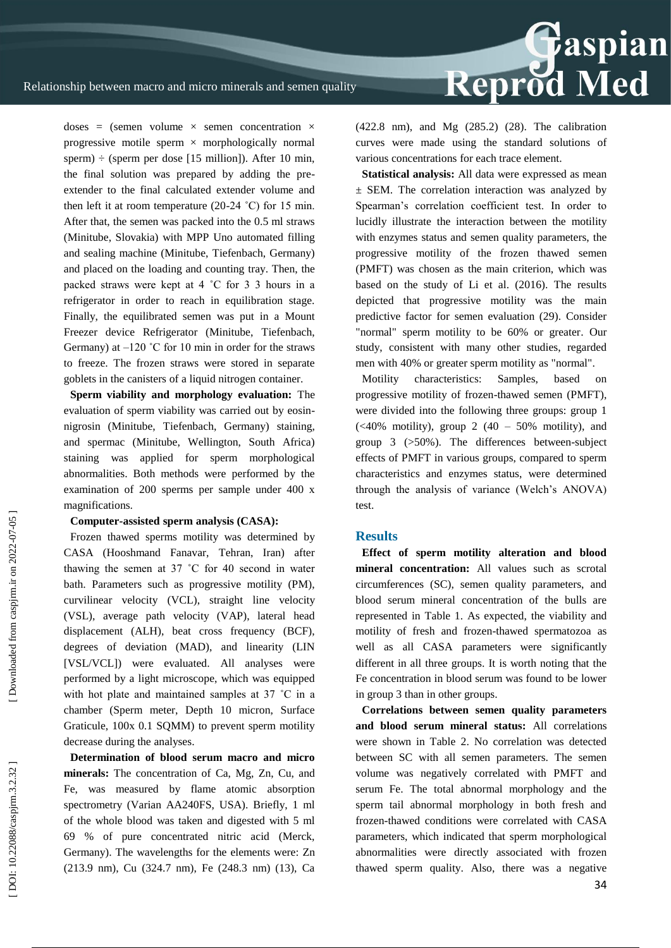

doses = (semen volume  $\times$  semen concentration  $\times$ progressive motile sperm  $\times$  morphologically normal sperm)  $\div$  (sperm per dose [15 million]). After 10 min, the final solution was prepared by adding the pre extender to the final calculated extender volume and then left it at room temperature  $(20-24 \degree C)$  for 15 min. After that, the semen was packed into the 0.5 ml straws (Minitube, Slovakia) with MPP Uno automated filling and sealing machine (Minitube, Tiefenbach, Germany) and placed on the loading and counting tray. Then, the packed straws were kept at 4 ˚C for 3 3 hours in a refrigerator in order to reach in equilibration stage. Finally, the equilibrated semen was put in a Mount Freezer device Refrigerator (Minitube, Tiefenbach, Germany) at  $-120$  °C for 10 min in order for the straws to freeze. The frozen straws were stored in separate goblets in the canisters of a liquid nitrogen container.

**Sperm viability and morphology evaluation:** The evaluation of sperm viability was carried out by eosin nigrosin (Minitube, Tiefenbach, Germany) staining, and spermac (Minitube, Wellington, South Africa) staining was applied for sperm morphological abnormalities. Both methods were performed by the examination of 200 sperms per sample under 400 x magnifications.

#### **Computer -assisted sperm analysis (CASA):**

Frozen thawed sperms motility was determined by CASA (Hooshmand Fanavar, Tehran, Iran) after thawing the semen at 37 ˚C for 40 second in water bath. Parameters such as progressive motility (PM), curvilinear velocity (VCL), straight line velocity (VSL), average path velocity (VAP), lateral head displacement (ALH), beat cross frequency (BCF), degrees of deviation (MAD), and linearity (LIN [VSL/VCL]) were evaluated. All analyses were performed by a light microscope, which was equipped with hot plate and maintained samples at 37 ˚C in a chamber (Sperm meter, Depth 10 micron, Surface Graticule, 100x 0.1 SQMM) to prevent sperm motility decrease during the analyses.

**Determination of blood serum macro and micro minerals:** The concentration of Ca, Mg, Zn, Cu, and Fe, was measured by flame atomic absorption spectrometry (Varian AA240FS, USA). Briefly, 1 ml of the whole blood was taken and digested with 5 ml 69 % of pure concentrated nitric acid (Merck, Germany). The wavelengths for the elements were: Zn (213.9 nm), Cu (324.7 nm), Fe (248.3 nm) (13), Ca (422.8 nm), and Mg (285.2) (28). The calibration curves were made using the standard solutions of various concentrations for each trace element.

**Statistical analysis:** All data were expressed as mean ± SEM. The correlation interaction was analyzed by Spearman's correlation coefficient test. In order to lucidly illustrate the interaction between the motility with enzymes status and semen quality parameters, the progressive motility of the frozen thawed semen (PMFT) was chosen as the main criterion, which was based on the study of Li et al. (2016). The results depicted that progressive motility was the main predictive factor for semen evaluation (29). Consider "normal" sperm motility to be 60% or greater. Our study, consistent with many other studies, regarded men with 40% or greater sperm motility as "normal".

Motility characteristics: Samples, based on progressive motility of frozen -thawed semen (PMFT), were divided into the following three groups: group 1  $\left(\frac{1}{40\%}\right)$  motility), group 2 (40 – 50% motility), and group 3 (>50%). The differences between -subject effects of PMFT in various groups, compared to sperm characteristics and enzymes status, were determined through the analysis of variance (Welch's ANOVA) test.

#### **Results**

**Effect of sperm motility alteration and blood mineral concentration:** All values such as scrotal circumferences (SC), semen quality parameters, and blood serum mineral concentration of the bulls are represented in Table 1. As expected, the viability and motility of fresh and frozen -thawed spermatozoa as well as all CASA parameters were significantly different in all three groups. It is worth noting that the Fe concentration in blood serum was found to be lower in group 3 than in other groups.

**Correlations between semen quality parameters and blood serum mineral status:** All correlations were shown in Table 2. No correlation was detected between SC with all semen parameters. The semen volume was negatively correlated with PMFT and serum Fe. The total abnormal morphology and the sperm tail abnormal morphology in both fresh and frozen -thawed conditions were correlated with CASA parameters, which indicated that sperm morphological abnormalities were directly associated with frozen thawed sperm quality. Also, there was a negative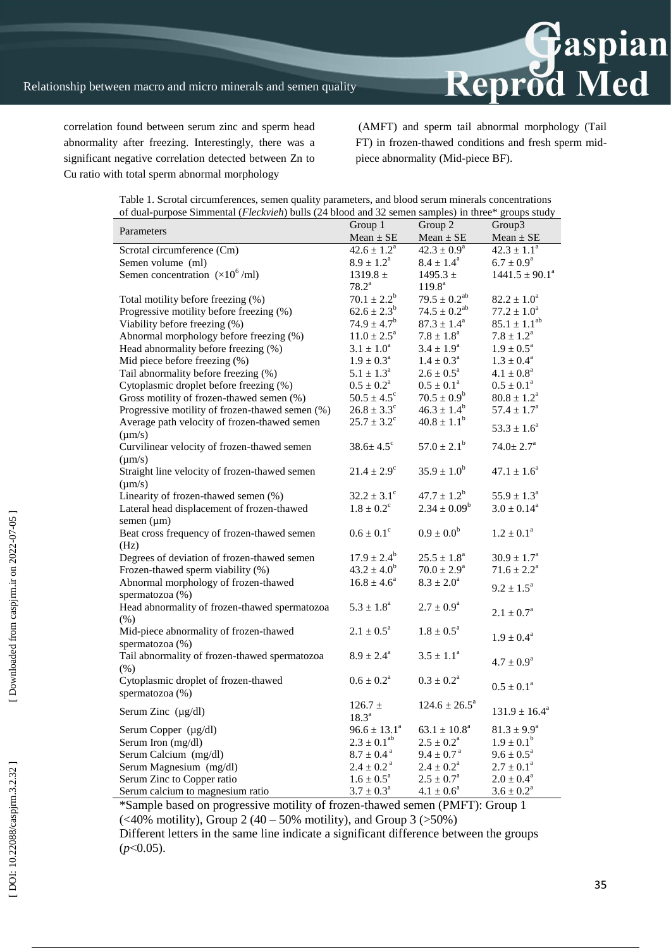

correlation found between serum zinc and sperm head abnormality after freezing. Interestingly, there was a significant negative correlation detected between Zn to Cu ratio with total sperm abnormal morphology

(AMFT) and sperm tail abnormal morphology (Tail FT) in frozen -thawed conditions and fresh sperm mid piece abnormality (Mid -piece BF).

| Parameters                                      | Group $1$                   | Group 2                   | Group3                    |
|-------------------------------------------------|-----------------------------|---------------------------|---------------------------|
|                                                 | $Mean \pm SE$               | $Mean \pm SE$             | $Mean \pm SE$             |
| Scrotal circumference (Cm)                      | $42.6 \pm 1.2^a$            | $42.3 \pm 0.9^{\circ}$    | $42.3 \pm 1.1^{\circ}$    |
| Semen volume (ml)                               | $8.9 \pm 1.2^{\rm a}$       | $8.4 \pm 1.4^{\rm a}$     | $6.7 \pm 0.9^{\rm a}$     |
| Semen concentration $(\times 10^6$ /ml)         | 1319.8 $\pm$                | $1495.3 \pm$              | $1441.5 \pm 90.1^a$       |
|                                                 | $78.2^{\rm a}$              | $119.8^{\text{a}}$        |                           |
| Total motility before freezing (%)              | $70.1 \pm 2.2^b$            | $79.5 \pm 0.2^{ab}$       | $82.2\pm1.0^{\rm a}$      |
| Progressive motility before freezing (%)        | $62.6 \pm 2.3^b$            | $74.5 \pm 0.2^{ab}$       | $77.2 \pm 1.0^a$          |
| Viability before freezing (%)                   | $74.9 \pm 4.7^b$            | $87.3 \pm 1.4^{\circ}$    | $85.1 \pm 1.1^{ab}$       |
| Abnormal morphology before freezing (%)         | $11.0 \pm 2.5^{\circ}$      | $7.8 \pm 1.8^a$           | $7.8 \pm 1.2^{\rm a}$     |
| Head abnormality before freezing (%)            | $3.1 \pm 1.0^a$             | $3.4 \pm 1.9^{\circ}$     | $1.9 \pm 0.5^{\text{a}}$  |
| Mid piece before freezing (%)                   | $1.9 \pm 0.3^{\circ}$       | $1.4 \pm 0.3^{\circ}$     | $1.3 \pm 0.4^{\rm a}$     |
| Tail abnormality before freezing (%)            | $5.1 \pm 1.3^{\circ}$       | $2.6 \pm 0.5^{\circ}$     | $4.1 \pm 0.8^a$           |
| Cytoplasmic droplet before freezing (%)         | $0.5 \pm 0.2^{\rm a}$       | $0.5 \pm 0.1^{\text{a}}$  | $0.5 \pm 0.1^{\text{a}}$  |
| Gross motility of frozen-thawed semen (%)       | $50.5 \pm 4.5^{\circ}$      | $70.5 \pm 0.9^b$          | $80.8 \pm 1.2^a$          |
| Progressive motility of frozen-thawed semen (%) | $26.8 \pm 3.3^{\circ}$      | $46.3 \pm 1.4^b$          | $57.4 \pm 1.7^{\rm a}$    |
| Average path velocity of frozen-thawed semen    | $25.7 \pm 3.2^{\circ}$      | $40.8 \pm 1.1^b$          |                           |
| $\mu$ m/s)                                      |                             |                           | $53.3 \pm 1.6^a$          |
| Curvilinear velocity of frozen-thawed semen     | $38.6 \pm 4.5$ <sup>c</sup> | $57.0 \pm 2.1^{\rm b}$    | $74.0 \pm 2.7^{\text{a}}$ |
| $(\mu m/s)$                                     |                             |                           |                           |
| Straight line velocity of frozen-thawed semen   | $21.4 \pm 2.9^{\circ}$      | $35.9 \pm 1.0^b$          | $47.1 \pm 1.6^a$          |
| $(\mu m/s)$                                     |                             |                           |                           |
| Linearity of frozen-thawed semen (%)            | $32.2 \pm 3.1$ <sup>c</sup> | $47.7 \pm 1.2^b$          | $55.9 \pm 1.3^a$          |
| Lateral head displacement of frozen-thawed      | $1.8 \pm 0.2^{\circ}$       | $2.34 \pm 0.09^b$         | $3.0 \pm 0.14^a$          |
|                                                 |                             |                           |                           |
| semen $(\mu m)$                                 | $0.6 \pm 0.1$ <sup>c</sup>  | $0.9 \pm 0.0^b$           | $1.2\pm0.1^{\rm a}$       |
| Beat cross frequency of frozen-thawed semen     |                             |                           |                           |
| (Hz)                                            | $17.9 \pm 2.4^{\rm b}$      | $25.5 \pm 1.8^a$          | $30.9 \pm 1.7^{\text{a}}$ |
| Degrees of deviation of frozen-thawed semen     | $43.2 \pm 4.0^b$            |                           |                           |
| Frozen-thawed sperm viability (%)               |                             | $70.0 \pm 2.9^{\rm a}$    | $71.6 \pm 2.2^a$          |
| Abnormal morphology of frozen-thawed            | $16.8 \pm 4.6^a$            | $8.3 \pm 2.0^a$           | $9.2 \pm 1.5^{\text{a}}$  |
| spermatozoa (%)                                 |                             |                           |                           |
| Head abnormality of frozen-thawed spermatozoa   | $5.3\pm1.8^{\rm a}$         | $2.7\pm0.9^{\rm a}$       | $2.1\pm0.7^{\rm a}$       |
| (% )                                            |                             |                           |                           |
| Mid-piece abnormality of frozen-thawed          | $2.1 \pm 0.5^{\rm a}$       | $1.8 \pm 0.5^{\rm a}$     | $1.9\pm0.4^{\rm a}$       |
| spermatozoa (%)                                 |                             |                           |                           |
| Tail abnormality of frozen-thawed spermatozoa   | $8.9 \pm 2.4^{\mathrm{a}}$  | $3.5 \pm 1.1^a$           | $4.7 \pm 0.9^a$           |
| (% )                                            |                             |                           |                           |
| Cytoplasmic droplet of frozen-thawed            | $0.6 \pm 0.2^{\rm a}$       | $0.3 \pm 0.2^{\rm a}$     | $0.5 \pm 0.1^a$           |
| spermatozoa (%)                                 |                             |                           |                           |
| Serum Zinc $(\mu g/dl)$                         | $126.7 \pm$                 | $124.6 \pm 26.5^a$        | $131.9 \pm 16.4^a$        |
|                                                 | $18.3^{\circ}$              |                           |                           |
| Serum Copper (µg/dl)                            | $96.6 \pm 13.1^a$           | $63.1 \pm 10.8^{\circ}$   | $81.3 \pm 9.9^{\rm a}$    |
| Serum Iron (mg/dl)                              | $2.3 \pm 0.1^{ab}$          | $2.5 \pm 0.2^{\rm a}$     | $1.9 \pm 0.1^{\rm b}$     |
| Serum Calcium (mg/dl)                           | $8.7 \pm 0.4^{\text{ a}}$   | $9.4 \pm 0.7^{\text{ a}}$ | $9.6 \pm 0.5^{\text{a}}$  |
| Serum Magnesium (mg/dl)                         | $2.4 \pm 0.2^{\text{ a}}$   | $2.4 \pm 0.2^{\rm a}$     | $2.7\pm0.1^{\rm a}$       |
| Serum Zinc to Copper ratio                      | $1.6 \pm 0.5^{\text{a}}$    | $2.5 \pm 0.7^{\rm a}$     | $2.0 \pm 0.4^a$           |
| Serum calcium to magnesium ratio                | $3.7 \pm 0.3^{\text{a}}$    | $4.1 \pm 0.6^a$           | $3.6 \pm 0.2^{\text{a}}$  |

Table 1. Scrotal circumferences, semen quality parameters, and blood serum minerals concentrations of dual -purpose Simmental (*Fleckvieh*) bulls (24 blood and 32 semen samples) in three\* groups study

\*Sample based on progressive motility of frozen -thawed semen (PMFT): Group 1  $\left(\frac{1}{9}\right)$  (<40% motility), Group 2 (40 – 50% motility), and Group 3 (>50%)

Different letters in the same line indicate a significant difference between the groups (*p*˂0.05).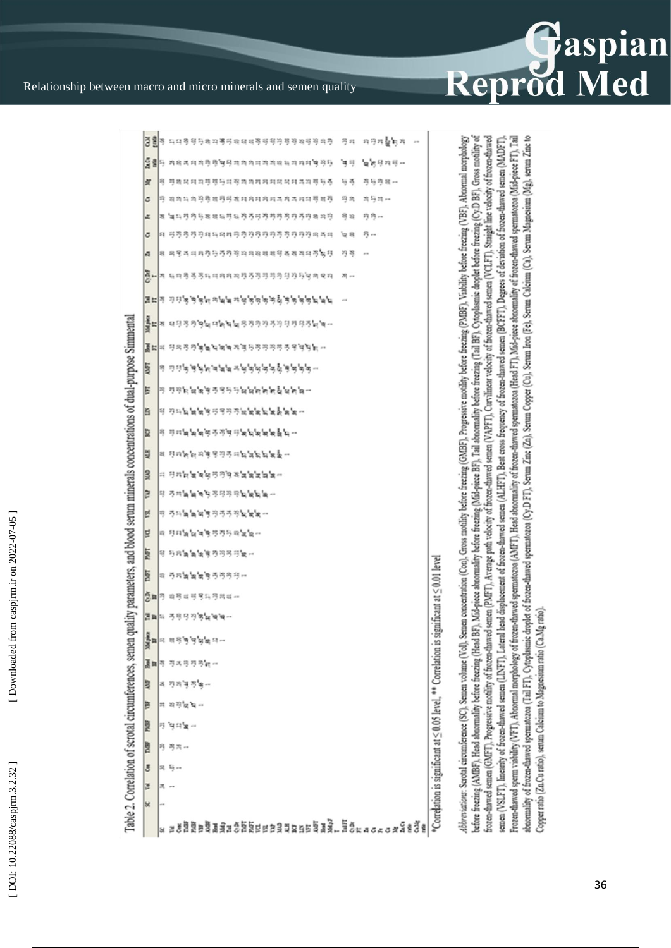

# Relationship between macro and micro minerals and semen quality

|                         |    | 결렬 주 다녀 행정 단체 더 뿌리해 대해 해 행정 행정 해 행정 하다 한 번 다 저 단체 좋다 저                   |     |         |                                                                  |
|-------------------------|----|--------------------------------------------------------------------------|-----|---------|------------------------------------------------------------------|
|                         |    | $\frac{1}{2}\frac{3}{8}$ S we we have a second contract of $\frac{1}{2}$ |     | "面的眼神可一 |                                                                  |
| 弍                       |    | 뭐 뿌려대려지면했듯따꾸려하려려져대며려주지했듯ㅎ                                                | 与弓  | 芍药琼脂山   |                                                                  |
| ٥                       |    | 딱 꼭찍득찍읫す뾱정뚜꽥턔뭬뭬뭬뭬ㅋㅋㅋㅋ대약뾱?                                                | 円井  | 적상적서    |                                                                  |
| a,                      |    | 복 14 다 ? ? 안 못 똑 똑 두 ? 두 ? ? ? ? ? ? ? ? ? ? ? ? ? 좀 ? ? ?               | 号段  | 特特州     |                                                                  |
| õ                       |    | H 53551341141533559555999981                                             | ত্ৰ | ヴー      |                                                                  |
| $\overline{\mathbf{a}}$ |    | 목 유용주의자전등증증적자자자작책명목목적자의증능단                                               | 丹芍  |         |                                                                  |
|                         |    | <b>B-</b> I sa 8 5 5 h ann an 5 5 5 5 5 6 6 6 7 6 7 8 7 8 7              |     |         |                                                                  |
|                         |    | مرم مقامة فليونون فيفرقوهم ستعملونه فيقرندند                             |     |         |                                                                  |
|                         |    | a<br>a seadh daraigh an dalas dada da baida da dan dan dan darai da m    |     |         |                                                                  |
| 置に                      |    | s gang <b>isatas</b> tanggang ang tan                                    |     |         |                                                                  |
| 5                       |    | - هوهو کو تو مواده مواد سهم هو مواد ن                                    |     |         |                                                                  |
| E                       |    | ማ ማማኪ ከክን ማማማ ማማ ከክክክ ከክክ                                                |     |         |                                                                  |
| E                       |    | <u>ል አከምመመል አይል አል</u> <b>¤ # # # # # #</b> #                            |     |         |                                                                  |
| R                       |    | 의 의미 maja maja 고민역의 제작 maja maja -                                       |     |         |                                                                  |
| 四                       |    | 백 단대 m m 백명 민주대의 제도 특도로 …                                                |     |         |                                                                  |
| <b>SF</b>               |    | ። 단체적 복색적 주목적 복복복 복색 ·                                                   |     |         |                                                                  |
| E                       |    |                                                                          |     |         |                                                                  |
| 텯                       |    | 甲 弓叫的的过去分词弓形的复数一                                                         |     |         |                                                                  |
| E                       |    | 网 可科梅科海原节芍药用葡萄汁                                                          |     |         |                                                                  |
| <b>Fact</b>             |    | 可 行政無無無無限的行政性無一                                                          |     |         |                                                                  |
| E                       |    | 明 马特舞舞舞舞马马布特一                                                            |     |         | ignificant at < 0.01 level                                       |
|                         |    | <b>卷轴</b> 199 网络砖阿萨科穆林砖--                                                |     |         |                                                                  |
|                         |    | <b>프트</b> 의 주목적작목의학부                                                     |     |         |                                                                  |
| <b>Nighter</b>          | E, | គេមិត្តជុះ ពេ                                                            |     |         |                                                                  |
| Jn                      | 鄂  | 再再用再用的                                                                   |     |         |                                                                  |
| 3                       |    | 招渡其市場                                                                    |     |         |                                                                  |
| 巨                       | 詩  | 当時間                                                                      |     |         |                                                                  |
| <b>FDCT</b>             | 殍  | 덕대는                                                                      |     |         |                                                                  |
| 图                       | 殍  | 药器的                                                                      |     |         | *Correlation is significant at < 0.05 level, ** Correlation is s |
| ā                       | 設  |                                                                          |     |         |                                                                  |
| ē                       | z, |                                                                          |     |         |                                                                  |
| lS.                     |    |                                                                          |     |         |                                                                  |
|                         | ×  |                                                                          |     |         |                                                                  |

of stocen-charact spermatozoa (Tail FT), Cytoplasmic droplet of frozen-charact spermatozoa (Cy:D FT), Serum Concert (Com), Serum Concert Irel, Serum (Cas), Serum Magnesium (Mg), serum Zinc to before freezing (AMBF). Head abnormality before freezing (Head BF), before freezing (Malabovechic freezing (Tail BF), Cytoplasmic dropht before freezing (Cy.D BF), Gross motility of Abbreviations: Scrotal circumference (SC), Semen volume (Vol), Sement occursions and the content of the propositive content of the feeding (PMBF), Viability before freezing (VBF), Aboommal morphology frozen-hawed semen (GMFT), Progressive notality of frozen-hawed semen (PMFT), Average para discussions and analyzing the sement (WHFT), Straight line velocity of frozen-hawed semen (VSLFT), linearity of frozen-thaved semen (LINFT), Lateral brad displacement of frozen-thaved semen year of sement sement (BCFFT), Degrees of deviation of frozen-thaved semen (MADFT), Frozen-thawed sperm visibility (VFT), Abnormal morphology of frozen-thawed spermatoxot (AMFT), Head abnormality of frozen-thawed spermatozoa (Head FT), Mid-piece abnormality of frozen-thawed spermatozoa (Mid-piece FT), Tai opper ratio (Zn Cu ratio), serum Calcium to Magnesium ratio (Ca.Mo ratio).

Table 2. Correlation of scrotal circumferences, semen quality parameters, and blood serum minerals concentrations of dual-purpose Simmental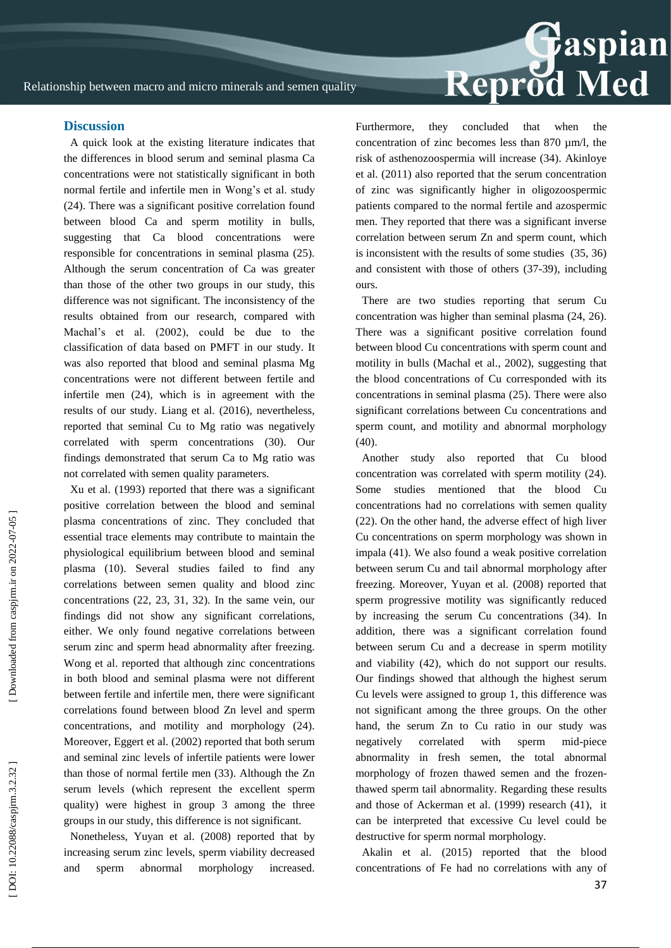

A quick look at the existing literature indicates that the differences in blood serum and seminal plasma Ca concentrations were not statistically significant in both normal fertile and infertile men in Wong's et al. study (24). There was a significant positive correlation found between blood Ca and sperm motility in bulls, suggesting that Ca blood concentrations were responsible for concentrations in seminal plasma (25). Although the serum concentration of Ca was greater than those of the other two groups in our study, this difference was not significant. The inconsistency of the results obtained from our research, compared with Machal's et al. (2002), could be due to the classification of data based on PMFT in our study. It was also reported that blood and seminal plasma Mg concentrations were not different between fertile and infertile men (24), which is in agreement with the results of our study. Liang et al. (2016), nevertheless, reported that seminal Cu to Mg ratio was negatively correlated with sperm concentrations (30). Our findings demonstrated that serum Ca to Mg ratio was not correlated with semen quality parameters.

Xu et al. (1993) reported that there was a significant positive correlation between the blood and seminal plasma concentrations of zinc. They concluded that essential trace elements may contribute to maintain the physiological equilibrium between blood and seminal plasma (10). Several studies failed to find any correlations between semen quality and blood zinc concentrations (22, 23, 31, 32). In the same vein, our findings did not show any significant correlations, either. We only found negative correlations between serum zinc and sperm head abnormality after freezing. Wong et al. reported that although zinc concentrations in both blood and seminal plasma were not different between fertile and infertile men, there were significant correlations found between blood Zn level and sperm concentrations, and motility and morphology (24). Moreover, Eggert et al. (2002) reported that both serum and seminal zinc levels of infertile patients were lower than those of normal fertile men (33). Although the Zn serum levels (which represent the excellent sperm quality) were highest in group 3 among the three groups in our study, this difference is not significant.

Nonetheless, Yuyan et al. (2008) reported that by increasing serum zinc levels, sperm viability decreased and sperm abnormal morphology increased. Furthermore, they concluded that when the concentration of zinc becomes less than 870 µm/l, the risk of asthenozoospermia will increase (34). Akinloye et al. (2011) also reported that the serum concentration of zinc was significantly higher in oligozoospermic patients compared to the normal fertile and azospermic men. They reported that there was a significant inverse correlation between serum Zn and sperm count, which is inconsistent with the results of some studies (35, 36) and consistent with those of others (37 -39), including ours.

Reprod Med

There are two studies reporting that serum Cu concentration was higher than seminal plasma (24, 26). There was a significant positive correlation found between blood Cu concentrations with sperm count and motility in bulls (Machal et al., 2002), suggesting that the blood concentrations of Cu corresponded with its concentrations in seminal plasma (25). There were also significant correlations between Cu concentrations and sperm count, and motility and abnormal morphology  $(40)$ .

Another study also reported that Cu blood concentration was correlated with sperm motility (24). Some studies mentioned that the blood concentrations had no correlations with semen quality (22). On the other hand, the adverse effect of high liver Cu concentrations on sperm morphology was shown in impala (41). We also found a weak positive correlation between serum Cu and tail abnormal morphology after freezing. Moreover, Yuyan et al. (2008) reported that sperm progressive motility was significantly reduced by increasing the serum Cu concentrations (34). In addition, there was a significant correlation found between serum Cu and a decrease in sperm motility and viability (42), which do not support our results. Our findings showed that although the highest serum Cu levels were assigned to group 1, this difference was not significant among the three groups. On the other hand, the serum Zn to Cu ratio in our study was negatively correlated with sperm mid-piece abnormality in fresh semen, the total abnormal morphology of frozen thawed semen and the frozen thawed sperm tail abnormality. Regarding these results and those of Ackerman et al. (1999) research (41), it can be interpreted that excessive Cu level could be destructive for sperm normal morphology.

Akalin et al. (2015) reported that the blood concentrations of Fe had no correlations with any of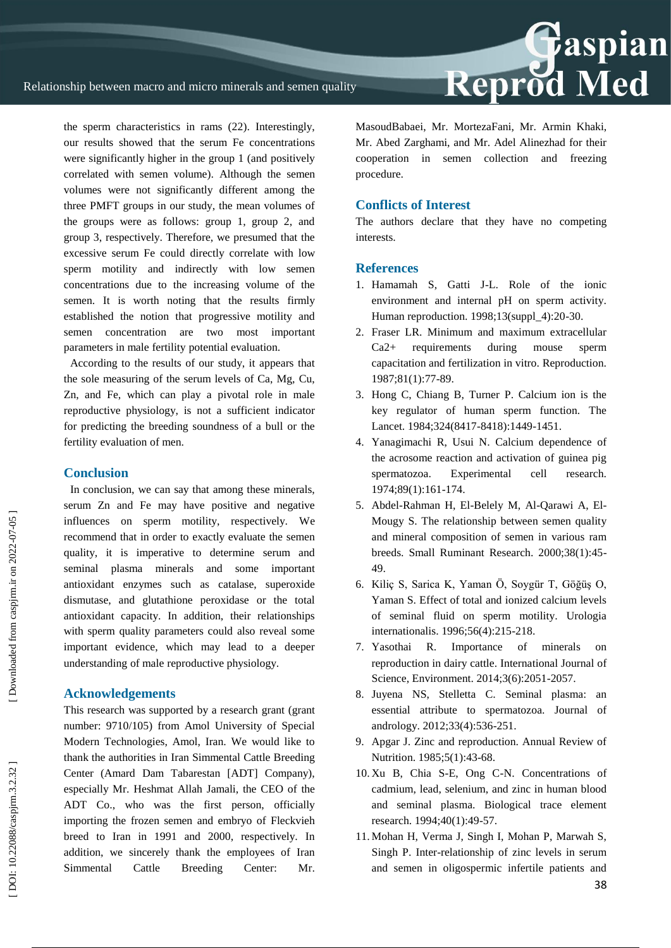the sperm characteristics in rams (22). Interestingly, our results showed that the serum Fe concentrations were significantly higher in the group 1 (and positively correlated with semen volume). Although the semen volumes were not significantly different among the three PMFT groups in our study, the mean volumes of the groups were as follows: group 1, group 2, and group 3, respectively. Therefore, we presumed that the excessive serum Fe could directly correlate with low sperm motility and indirectly with low semen concentrations due to the increasing volume of the semen. It is worth noting that the results firmly established the notion that progressive motility and semen concentration are two most important parameters in male fertility potential evaluation.

According to the results of our study, it appears that the sole measuring of the serum levels of Ca, Mg, Cu, Zn, and Fe, which can play a pivotal role in male reproductive physiology, is not a sufficient indicator for predicting the breeding soundness of a bull or the fertility evaluation of men.

#### **Conclusion**

In conclusion, we can say that among these minerals, serum Zn and Fe may have positive and negative influences on sperm motility, respectively. We recommend that in order to exactly evaluate the semen quality, it is imperative to determine serum and seminal plasma minerals and some important antioxidant enzymes such as catalase, superoxide dismutase, and glutathione peroxidase or the total antioxidant capacity. In addition, their relationships with sperm quality parameters could also reveal some important evidence, which may lead to a deeper understanding of male reproductive physiology.

## **Acknowledgements**

This research was supported by a research grant (grant number: 9710/105) from Amol University of Special Modern Technologies, Amol, Iran. We would like to thank the authorities in Iran Simmental Cattle Breeding Center (Amard Dam Tabarestan [ADT] Company), especially Mr. Heshmat Allah Jamali, the CEO of the ADT Co., who was the first person, officially importing the frozen semen and embryo of Fleckvieh breed to Iran in 1991 and 2000, respectively. In addition, we sincerely thank the employees of Iran Simmental Cattle Breeding Center: Mr. MasoudBabaei, Mr. MortezaFani, Mr. Armin Khaki, Mr. Abed Zarghami, and Mr. Adel Alinezhad for their cooperation in semen collection and freezing procedure.

### **Conflicts of Interest**

The authors declare that they have no competing interests.

#### **References**

- 1. Hamamah S, Gatti J -L. Role of the ionic environment and internal pH on sperm activity. Human reproduction. 1998;13(suppl\_4):20 -30.
- 2. Fraser LR. Minimum and maximum extracellular Ca2+ requirements during mouse sperm capacitation and fertilization in vitro. Reproduction. 1987;81(1):77 -89.
- 3. Hong C, Chiang B, Turner P. Calcium ion is the key regulator of human sperm function. The Lancet. 1984;324(8417-8418):1449-1451.
- 4. Yanagimachi R, Usui N. Calcium dependence of the acrosome reaction and activation of guinea pig spermatozoa. Experimental cell research. 1974;89(1):161 - 174.
- 5. Abdel -Rahman H, El -Belely M, Al -Qarawi A, El Mougy S. The relationship between semen quality and mineral composition of semen in various ram breeds. Small Ruminant Research. 2000;38(1):45 - 49.
- 6. Kiliç S, Sarica K, Yaman Ö, Soygür T, Göğüş O, Yaman S. Effect of total and ionized calcium levels of seminal fluid on sperm motility. Urologia internationalis. 1996;56(4):215 -218.
- 7. Yasothai R. Importance of minerals on reproduction in dairy cattle. International Journal of Science, Environment. 2014;3(6):2051 -2057.
- 8. Juyena NS, Stelletta C. Seminal plasma: an essential attribute to spermatozoa. Journal of andrology. 2012;33(4):536 - 251.
- 9. Apgar J. Zinc and reproduction. Annual Review of Nutrition. 1985;5(1):43-68.
- 10. Xu B, Chia S -E, Ong C -N. Concentrations of cadmium, lead, selenium, and zinc in human blood and seminal plasma. Biological trace element research. 1994;40(1):49 -57.
- 11. Mohan H, Verma J, Singh I, Mohan P, Marwah S, Singh P. Inter -relationship of zinc levels in serum and semen in oligospermic infertile patients and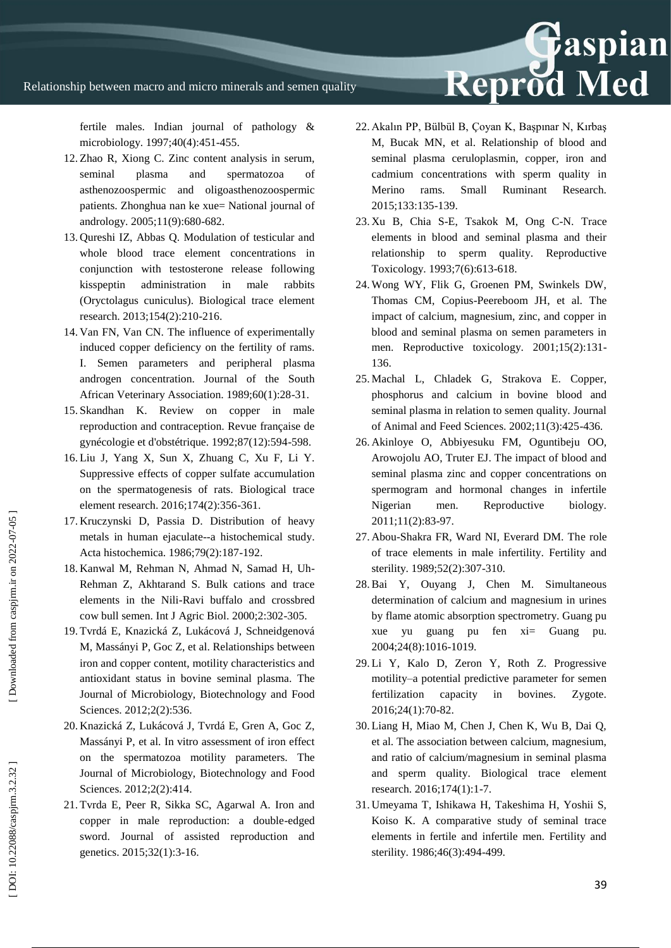fertile males. Indian journal of pathology & microbiology. 1997;40(4):451 -455.

- 12. Zhao R, Xiong C. Zinc content analysis in serum, seminal plasma and spermatozoa of asthenozoospermic and oligoasthenozoospermic patients. Zhonghua nan ke xue= National journal of andrology. 2005;11(9):680 -682.
- 13. Qureshi IZ, Abbas Q. Modulation of testicular and whole blood trace element concentrations in conjunction with testosterone release following kisspeptin administration in male rabbits (Oryctolagus cuniculus). Biological trace element research. 2013;154(2):210 -216.
- 14. Van FN, Van CN. The influence of experimentally induced copper deficiency on the fertility of rams. I. Semen parameters and peripheral plasma androgen concentration. Journal of the South African Veterinary Association. 1989;60(1):28 -31.
- 15. Skandhan K. Review on copper in male reproduction and contraception. Revue française de gynécologie et d'obstétrique. 1992;87(12):594 -598.
- 16. Liu J, Yang X, Sun X, Zhuang C, Xu F, Li Y. Suppressive effects of copper sulfate accumulation on the spermatogenesis of rats. Biological trace element research. 2016;174(2):356 - 361.
- 17. Kruczynski D, Passia D. Distribution of heavy metals in human ejaculat e--a histochemical study. Acta histochemica. 1986;79(2):187 - 192.
- 18. Kanwal M, Rehman N, Ahmad N, Samad H, Uh Rehman Z, Akhtarand S. Bulk cations and trace elements in the Nili -Ravi buffalo and crossbred cow bull semen. Int J Agric Biol. 2000;2:302 -305.
- 19 . Tvrdá E, Knazická Z, Lukácová J, Schneidgenová M, Massányi P, Goc Z, et al. Relationships between iron and copper content, motility characteristics and antioxidant status in bovine seminal plasma. The Journal of Microbiology, Biotechnology and Food Sciences. 2012;2(2):536.
- 20. Knazická Z, Lukácová J, Tvrdá E, Gren A, Goc Z, Massányi P, et al. In vitro assessment of iron effect on the spermatozoa motility parameters. The Journal of Microbiology, Biotechnology and Food Sciences. 2012;2(2):414.
- 21. Tvrda E, Peer R, Sikka SC, Agarwal A. Iron and copper in male reproduction: a double -edged sword. Journal of assisted reproduction and genetics. 2015;32(1):3 -16.
- 22. Akalın PP, Bülbül B, Çoyan K, Başpınar N, Kırbaş M, Bucak MN, et al. Relationship of blood and seminal plasma ceruloplasmin, copper, iron and cadmium concentrations with sperm quality in Merino rams. Small Ruminant Research. 2015;133:135 -139.
- 23. Xu B, Chia S -E, Tsakok M, Ong C -N. Trace elements in blood and seminal plasma and their relationship to sperm quality. Reproductive Toxicology. 1993;7(6):613 -618.
- 24. Wong WY, Flik G, Groenen PM, Swinkels DW, Thomas CM, Copius -Peereboom JH, et al. The impact of calcium, magnesium, zinc, and copper in blood and seminal plasma on semen parameters in men. Reproductive toxicology. 2001;15(2):131-136.
- 25. Machal L, Chladek G, Strakova E. Copper, phosphorus and calcium in bovine blood and seminal plasma in relation to semen quality. Journal of Animal and Feed Sciences. 2002;11(3):425 - 436.
- 26. Akinloye O, Abbiyesuku FM, Oguntibeju OO, Arowojolu AO, Truter EJ. The impact of blood and seminal plasma zinc and copper concentrations on spermogram and hormonal changes in infertile Nigerian men. Reproductive biology. 2011;11(2):83 -97.
- 27. Abou -Shakra FR, Ward NI, Everard DM. The role of trace elements in male infertility. Fertility and sterility. 1989;52(2):307-310.
- 28.Bai Y, Ouyang J, Chen M. Simultaneous determination of calcium and magnesium in urines by flame atomic absorption spectrometry. Guang pu xue yu guang pu fen xi= Guang pu. 2004;24(8):1016 -1019.
- 29. Li Y, Kalo D, Zeron Y, Roth Z. Progressive motility –a potential predictive parameter for semen fertilization capacity in bovines. Zygote. 2016;24(1):70 -82.
- 30. Liang H, Miao M, Chen J, Chen K, Wu B, Dai Q, et al. The association between calcium, magnesium, and ratio of calcium/magnesium in seminal plasma and sperm quality. Biological trace element research. 2016;174(1):1 -7.
- 31. Umeyama T, Ishikawa H, Takeshima H, Yoshii S, Koiso K. A comparative study of seminal trace elements in fertile and infertile men. Fertility and sterility. 1986;46(3):494 -499.